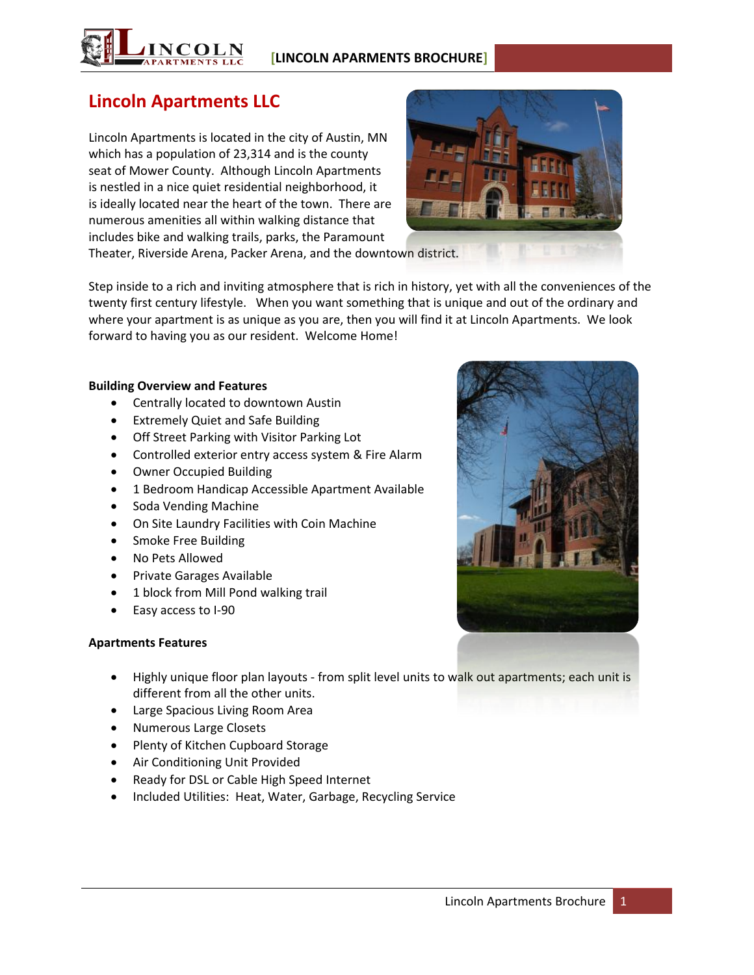

# **Lincoln Apartments LLC**

Lincoln Apartments is located in the city of Austin, MN which has a population of 23,314 and is the county seat of Mower County. Although Lincoln Apartments is nestled in a nice quiet residential neighborhood, it is ideally located near the heart of the town. There are numerous amenities all within walking distance that includes bike and walking trails, parks, the Paramount



Theater, Riverside Arena, Packer Arena, and the downtown district.

Step inside to a rich and inviting atmosphere that is rich in history, yet with all the conveniences of the twenty first century lifestyle. When you want something that is unique and out of the ordinary and where your apartment is as unique as you are, then you will find it at Lincoln Apartments. We look forward to having you as our resident. Welcome Home!

### **Building Overview and Features**

- Centrally located to downtown Austin
- Extremely Quiet and Safe Building
- Off Street Parking with Visitor Parking Lot
- Controlled exterior entry access system & Fire Alarm
- Owner Occupied Building
- 1 Bedroom Handicap Accessible Apartment Available
- Soda Vending Machine
- On Site Laundry Facilities with Coin Machine
- Smoke Free Building
- No Pets Allowed
- **•** Private Garages Available
- 1 block from Mill Pond walking trail
- Easy access to I-90

## **Apartments Features**

- Highly unique floor plan layouts from split level units to walk out apartments; each unit is different from all the other units.
- Large Spacious Living Room Area
- Numerous Large Closets
- Plenty of Kitchen Cupboard Storage
- Air Conditioning Unit Provided
- Ready for DSL or Cable High Speed Internet
- Included Utilities: Heat, Water, Garbage, Recycling Service